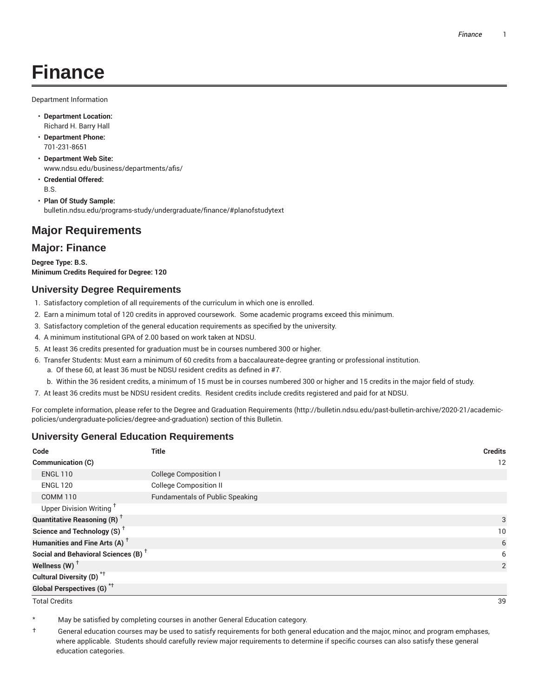# **Finance**

Department Information

- **Department Location:** Richard H. Barry Hall
- **Department Phone:** 701-231-8651
- **Department Web Site:** www.ndsu.edu/business/departments/afis/
- **Credential Offered:** B.S.
- **Plan Of Study Sample:** bulletin.ndsu.edu/programs-study/undergraduate/finance/#planofstudytext

## **Major Requirements**

### **Major: Finance**

**Degree Type: B.S. Minimum Credits Required for Degree: 120**

#### **University Degree Requirements**

- 1. Satisfactory completion of all requirements of the curriculum in which one is enrolled.
- 2. Earn a minimum total of 120 credits in approved coursework. Some academic programs exceed this minimum.
- 3. Satisfactory completion of the general education requirements as specified by the university.
- 4. A minimum institutional GPA of 2.00 based on work taken at NDSU.
- 5. At least 36 credits presented for graduation must be in courses numbered 300 or higher.
- 6. Transfer Students: Must earn a minimum of 60 credits from a baccalaureate-degree granting or professional institution.
	- a. Of these 60, at least 36 must be NDSU resident credits as defined in #7.
	- b. Within the 36 resident credits, a minimum of 15 must be in courses numbered 300 or higher and 15 credits in the major field of study.
- 7. At least 36 credits must be NDSU resident credits. Resident credits include credits registered and paid for at NDSU.

For complete information, please refer to the Degree and Graduation Requirements (http://bulletin.ndsu.edu/past-bulletin-archive/2020-21/academicpolicies/undergraduate-policies/degree-and-graduation) section of this Bulletin.

### **University General Education Requirements**

| Code                                            | <b>Title</b>                           | <b>Credits</b> |
|-------------------------------------------------|----------------------------------------|----------------|
| Communication (C)                               |                                        | 12             |
| <b>ENGL 110</b>                                 | <b>College Composition I</b>           |                |
| <b>ENGL 120</b>                                 | <b>College Composition II</b>          |                |
| <b>COMM 110</b>                                 | <b>Fundamentals of Public Speaking</b> |                |
| Upper Division Writing <sup>+</sup>             |                                        |                |
| <b>Quantitative Reasoning (R)</b> <sup>†</sup>  |                                        | 3              |
| Science and Technology (S) <sup>+</sup>         |                                        | 10             |
| Humanities and Fine Arts (A) <sup>+</sup>       |                                        | 6              |
| Social and Behavioral Sciences (B) <sup>+</sup> |                                        | 6              |
| Wellness $(W)$ <sup>†</sup>                     |                                        | 2              |
| Cultural Diversity (D) <sup>*†</sup>            |                                        |                |
| <b>Global Perspectives (G)<sup>*†</sup></b>     |                                        |                |

Total Credits 39

May be satisfied by completing courses in another General Education category.

† General education courses may be used to satisfy requirements for both general education and the major, minor, and program emphases, where applicable. Students should carefully review major requirements to determine if specific courses can also satisfy these general education categories.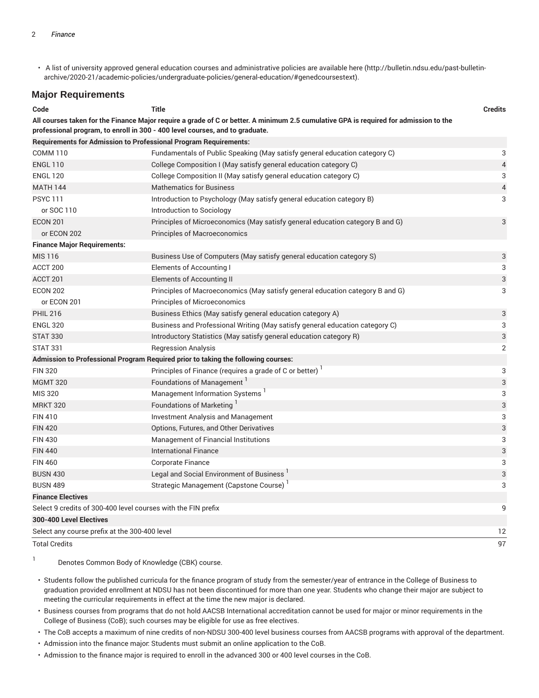• A list of university approved general education courses and administrative policies are available here (http://bulletin.ndsu.edu/past-bulletinarchive/2020-21/academic-policies/undergraduate-policies/general-education/#genedcoursestext).

#### **Major Requirements**

| Code                                                                                                                                                                                                                  | <b>Title</b>                                                                      | <b>Credits</b>            |  |  |
|-----------------------------------------------------------------------------------------------------------------------------------------------------------------------------------------------------------------------|-----------------------------------------------------------------------------------|---------------------------|--|--|
| All courses taken for the Finance Major require a grade of C or better. A minimum 2.5 cumulative GPA is required for admission to the<br>professional program, to enroll in 300 - 400 level courses, and to graduate. |                                                                                   |                           |  |  |
| <b>Requirements for Admission to Professional Program Requirements:</b>                                                                                                                                               |                                                                                   |                           |  |  |
| <b>COMM 110</b>                                                                                                                                                                                                       | Fundamentals of Public Speaking (May satisfy general education category C)        | 3                         |  |  |
| <b>ENGL 110</b>                                                                                                                                                                                                       | College Composition I (May satisfy general education category C)                  | $\sqrt{4}$                |  |  |
| <b>ENGL 120</b>                                                                                                                                                                                                       | College Composition II (May satisfy general education category C)                 | 3                         |  |  |
| <b>MATH 144</b>                                                                                                                                                                                                       | <b>Mathematics for Business</b>                                                   | $\overline{4}$            |  |  |
| <b>PSYC111</b>                                                                                                                                                                                                        | Introduction to Psychology (May satisfy general education category B)             | 3                         |  |  |
| or SOC 110                                                                                                                                                                                                            | Introduction to Sociology                                                         |                           |  |  |
| <b>ECON 201</b>                                                                                                                                                                                                       | Principles of Microeconomics (May satisfy general education category B and G)     | 3                         |  |  |
| or ECON 202                                                                                                                                                                                                           | <b>Principles of Macroeconomics</b>                                               |                           |  |  |
| <b>Finance Major Requirements:</b>                                                                                                                                                                                    |                                                                                   |                           |  |  |
| MIS 116                                                                                                                                                                                                               | Business Use of Computers (May satisfy general education category S)              | $\ensuremath{\mathsf{3}}$ |  |  |
| ACCT 200                                                                                                                                                                                                              | Elements of Accounting I                                                          | 3                         |  |  |
| ACCT <sub>201</sub>                                                                                                                                                                                                   | <b>Elements of Accounting II</b>                                                  | $\mathbf{3}$              |  |  |
| <b>ECON 202</b>                                                                                                                                                                                                       | Principles of Macroeconomics (May satisfy general education category B and G)     | 3                         |  |  |
| or ECON 201                                                                                                                                                                                                           | Principles of Microeconomics                                                      |                           |  |  |
| <b>PHIL 216</b>                                                                                                                                                                                                       | Business Ethics (May satisfy general education category A)                        | 3                         |  |  |
| <b>ENGL 320</b>                                                                                                                                                                                                       | Business and Professional Writing (May satisfy general education category C)      | 3                         |  |  |
| <b>STAT 330</b>                                                                                                                                                                                                       | Introductory Statistics (May satisfy general education category R)                | 3                         |  |  |
| <b>STAT 331</b>                                                                                                                                                                                                       | <b>Regression Analysis</b>                                                        | 2                         |  |  |
|                                                                                                                                                                                                                       | Admission to Professional Program Required prior to taking the following courses: |                           |  |  |
| <b>FIN 320</b>                                                                                                                                                                                                        | Principles of Finance (requires a grade of C or better)                           | 3                         |  |  |
| <b>MGMT 320</b>                                                                                                                                                                                                       | Foundations of Management <sup>1</sup>                                            | $\ensuremath{\mathsf{3}}$ |  |  |
| MIS 320                                                                                                                                                                                                               | Management Information Systems <sup>1</sup>                                       | 3                         |  |  |
| <b>MRKT 320</b>                                                                                                                                                                                                       | Foundations of Marketing <sup>1</sup>                                             | $\ensuremath{\mathsf{3}}$ |  |  |
| <b>FIN 410</b>                                                                                                                                                                                                        | <b>Investment Analysis and Management</b>                                         | 3                         |  |  |
| <b>FIN 420</b>                                                                                                                                                                                                        | Options, Futures, and Other Derivatives                                           | $\sqrt{3}$                |  |  |
| <b>FIN 430</b>                                                                                                                                                                                                        | Management of Financial Institutions                                              | 3                         |  |  |
| <b>FIN 440</b>                                                                                                                                                                                                        | <b>International Finance</b>                                                      | 3                         |  |  |
| <b>FIN 460</b>                                                                                                                                                                                                        | <b>Corporate Finance</b>                                                          | 3                         |  |  |
| <b>BUSN 430</b>                                                                                                                                                                                                       | Legal and Social Environment of Business <sup>1</sup>                             | 3                         |  |  |
| <b>BUSN 489</b>                                                                                                                                                                                                       | Strategic Management (Capstone Course)                                            | 3                         |  |  |
| <b>Finance Electives</b>                                                                                                                                                                                              |                                                                                   |                           |  |  |
| 9<br>Select 9 credits of 300-400 level courses with the FIN prefix                                                                                                                                                    |                                                                                   |                           |  |  |
| 300-400 Level Electives                                                                                                                                                                                               |                                                                                   |                           |  |  |
| Select any course prefix at the 300-400 level                                                                                                                                                                         |                                                                                   | 12                        |  |  |
| <b>Total Credits</b>                                                                                                                                                                                                  |                                                                                   | 97                        |  |  |

1 Denotes Common Body of Knowledge (CBK) course.

- Students follow the published curricula for the finance program of study from the semester/year of entrance in the College of Business to graduation provided enrollment at NDSU has not been discontinued for more than one year. Students who change their major are subject to meeting the curricular requirements in effect at the time the new major is declared.
- Business courses from programs that do not hold AACSB International accreditation cannot be used for major or minor requirements in the College of Business (CoB); such courses may be eligible for use as free electives.
- The CoB accepts a maximum of nine credits of non-NDSU 300-400 level business courses from AACSB programs with approval of the department.
- Admission into the finance major: Students must submit an online application to the CoB.
- Admission to the finance major is required to enroll in the advanced 300 or 400 level courses in the CoB.